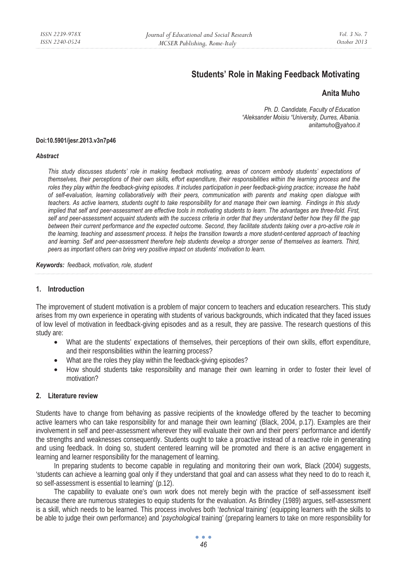# **Students' Role in Making Feedback Motivating**

# **Anita Muho**

*Ph. D. Candidate, Faculty of Education "Aleksander Moisiu "University, Durres, Albania. anitamuho@yahoo.it* 

#### **Doi:10.5901/jesr.2013.v3n7p46**

#### *Abstract*

*This study discusses students' role in making feedback motivating, areas of concern embody students' expectations of themselves, their perceptions of their own skills, effort expenditure, their responsibilities within the learning process and the roles they play within the feedback-giving episodes. It includes participation in peer feedback-giving practice; increase the habit of self-evaluation, learning collaboratively with their peers, communication with parents and making open dialogue with teachers. As active learners, students ought to take responsibility for and manage their own learning. Findings in this study implied that self and peer-assessment are effective tools in motivating students to learn. The advantages are three-fold. First, self and peer-assessment acquaint students with the success criteria in order that they understand better how they fill the gap between their current performance and the expected outcome. Second, they facilitate students taking over a pro-active role in the learning, teaching and assessment process. It helps the transition towards a more student-centered approach of teaching and learning. Self and peer-assessment therefore help students develop a stronger sense of themselves as learners. Third, peers as important others can bring very positive impact on students' motivation to learn.* 

*Keywords: feedback, motivation, role, student* 

# **1. Introduction**

The improvement of student motivation is a problem of major concern to teachers and education researchers. This study arises from my own experience in operating with students of various backgrounds, which indicated that they faced issues of low level of motivation in feedback-giving episodes and as a result, they are passive. The research questions of this study are:

- What are the students' expectations of themselves, their perceptions of their own skills, effort expenditure, and their responsibilities within the learning process?
- What are the roles they play within the feedback-giving episodes?
- How should students take responsibility and manage their own learning in order to foster their level of motivation?

### **2. Literature review**

Students have to change from behaving as passive recipients of the knowledge offered by the teacher to becoming active learners who can take responsibility for and manage their own learning' (Black, 2004, p.17). Examples are their involvement in self and peer-assessment wherever they will evaluate their own and their peers' performance and identify the strengths and weaknesses consequently. Students ought to take a proactive instead of a reactive role in generating and using feedback. In doing so, student centered learning will be promoted and there is an active engagement in learning and learner responsibility for the management of learning.

In preparing students to become capable in regulating and monitoring their own work, Black (2004) suggests, 'students can achieve a learning goal only if they understand that goal and can assess what they need to do to reach it, so self-assessment is essential to learning' (p.12).

The capability to evaluate one's own work does not merely begin with the practice of self-assessment itself because there are numerous strategies to equip students for the evaluation. As Brindley (1989) argues, self-assessment is a skill, which needs to be learned. This process involves both '*technical* training' (equipping learners with the skills to be able to judge their own performance) and '*psychological* training' (preparing learners to take on more responsibility for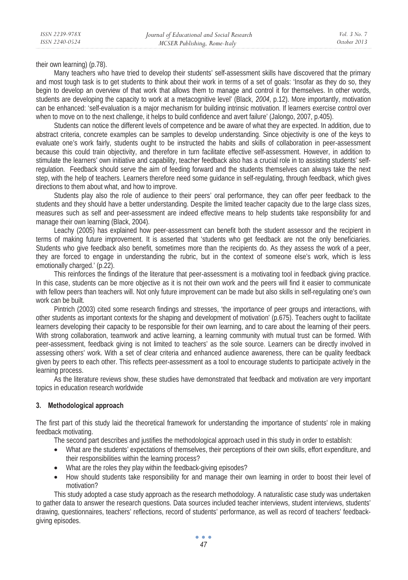their own learning) (p.78).

Many teachers who have tried to develop their students' self-assessment skills have discovered that the primary and most tough task is to get students to think about their work in terms of a set of goals: 'Insofar as they do so, they begin to develop an overview of that work that allows them to manage and control it for themselves. In other words, students are developing the capacity to work at a metacognitive level' (Black*, 2004*, p.12). More importantly, motivation can be enhanced: 'self-evaluation is a major mechanism for building intrinsic motivation. If learners exercise control over when to move on to the next challenge, it helps to build confidence and avert failure' (Jalongo, 2007, p.405).

Students can notice the different levels of competence and be aware of what they are expected. In addition, due to abstract criteria, concrete examples can be samples to develop understanding. Since objectivity is one of the keys to evaluate one's work fairly, students ought to be instructed the habits and skills of collaboration in peer-assessment because this could train objectivity, and therefore in turn facilitate effective self-assessment. However, in addition to stimulate the learners' own initiative and capability, teacher feedback also has a crucial role in to assisting students' selfregulation. Feedback should serve the aim of feeding forward and the students themselves can always take the next step, with the help of teachers. Learners therefore need some guidance in self-regulating, through feedback, which gives directions to them about what, and how to improve.

Students play also the role of audience to their peers' oral performance, they can offer peer feedback to the students and they should have a better understanding. Despite the limited teacher capacity due to the large class sizes, measures such as self and peer-assessment are indeed effective means to help students take responsibility for and manage their own learning (Black, 2004).

Leachy (2005) has explained how peer-assessment can benefit both the student assessor and the recipient in terms of making future improvement. It is asserted that 'students who get feedback are not the only beneficiaries. Students who give feedback also benefit, sometimes more than the recipients do. As they assess the work of a peer, they are forced to engage in understanding the rubric, but in the context of someone else's work, which is less emotionally charged.' (p.22).

This reinforces the findings of the literature that peer-assessment is a motivating tool in feedback giving practice. In this case, students can be more objective as it is not their own work and the peers will find it easier to communicate with fellow peers than teachers will. Not only future improvement can be made but also skills in self-regulating one's own work can be built.

Pintrich (2003) cited some research findings and stresses, 'the importance of peer groups and interactions, with other students as important contexts for the shaping and development of motivation' (p.675). Teachers ought to facilitate learners developing their capacity to be responsible for their own learning, and to care about the learning of their peers. With strong collaboration, teamwork and active learning, a learning community with mutual trust can be formed. With peer-assessment, feedback giving is not limited to teachers' as the sole source. Learners can be directly involved in assessing others' work. With a set of clear criteria and enhanced audience awareness, there can be quality feedback given by peers to each other. This reflects peer-assessment as a tool to encourage students to participate actively in the learning process.

As the literature reviews show, these studies have demonstrated that feedback and motivation are very important topics in education research worldwide

### **3. Methodological approach**

The first part of this study laid the theoretical framework for understanding the importance of students' role in making feedback motivating.

The second part describes and justifies the methodological approach used in this study in order to establish:

- What are the students' expectations of themselves, their perceptions of their own skills, effort expenditure, and their responsibilities within the learning process?
- What are the roles they play within the feedback-giving episodes?
- How should students take responsibility for and manage their own learning in order to boost their level of motivation?

This study adopted a case study approach as the research methodology. A naturalistic case study was undertaken to gather data to answer the research questions. Data sources included teacher interviews, student interviews, students' drawing, questionnaires, teachers' reflections, record of students' performance, as well as record of teachers' feedbackgiving episodes.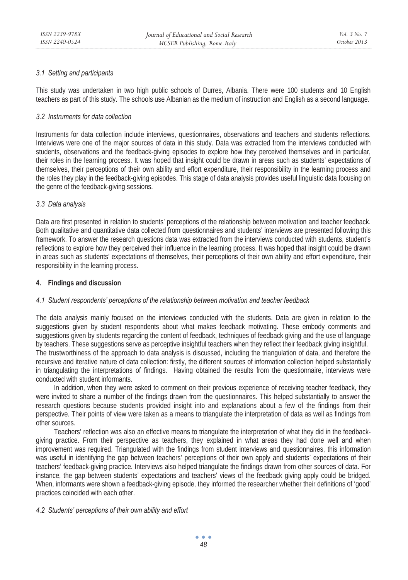# *3.1 Setting and participants*

This study was undertaken in two high public schools of Durres, Albania. There were 100 students and 10 English teachers as part of this study. The schools use Albanian as the medium of instruction and English as a second language.

# *3.2 Instruments for data collection*

Instruments for data collection include interviews, questionnaires, observations and teachers and students reflections. Interviews were one of the major sources of data in this study. Data was extracted from the interviews conducted with students, observations and the feedback-giving episodes to explore how they perceived themselves and in particular, their roles in the learning process. It was hoped that insight could be drawn in areas such as students' expectations of themselves, their perceptions of their own ability and effort expenditure, their responsibility in the learning process and the roles they play in the feedback-giving episodes. This stage of data analysis provides useful linguistic data focusing on the genre of the feedback-giving sessions.

# *3.3 Data analysis*

Data are first presented in relation to students' perceptions of the relationship between motivation and teacher feedback. Both qualitative and quantitative data collected from questionnaires and students' interviews are presented following this framework. To answer the research questions data was extracted from the interviews conducted with students, student's reflections to explore how they perceived their influence in the learning process. It was hoped that insight could be drawn in areas such as students' expectations of themselves, their perceptions of their own ability and effort expenditure, their responsibility in the learning process.

# **4. Findings and discussion**

# *4.1 Student respondents' perceptions of the relationship between motivation and teacher feedback*

The data analysis mainly focused on the interviews conducted with the students. Data are given in relation to the suggestions given by student respondents about what makes feedback motivating. These embody comments and suggestions given by students regarding the content of feedback, techniques of feedback giving and the use of language by teachers. These suggestions serve as perceptive insightful teachers when they reflect their feedback giving insightful. The trustworthiness of the approach to data analysis is discussed, including the triangulation of data, and therefore the recursive and iterative nature of data collection: firstly, the different sources of information collection helped substantially in triangulating the interpretations of findings. Having obtained the results from the questionnaire, interviews were conducted with student informants.

In addition, when they were asked to comment on their previous experience of receiving teacher feedback, they were invited to share a number of the findings drawn from the questionnaires. This helped substantially to answer the research questions because students provided insight into and explanations about a few of the findings from their perspective. Their points of view were taken as a means to triangulate the interpretation of data as well as findings from other sources.

Teachers' reflection was also an effective means to triangulate the interpretation of what they did in the feedbackgiving practice. From their perspective as teachers, they explained in what areas they had done well and when improvement was required. Triangulated with the findings from student interviews and questionnaires, this information was useful in identifying the gap between teachers' perceptions of their own apply and students' expectations of their teachers' feedback-giving practice. Interviews also helped triangulate the findings drawn from other sources of data. For instance, the gap between students' expectations and teachers' views of the feedback giving apply could be bridged. When, informants were shown a feedback-giving episode, they informed the researcher whether their definitions of 'good' practices coincided with each other.

# *4.2 Students' perceptions of their own ability and effort*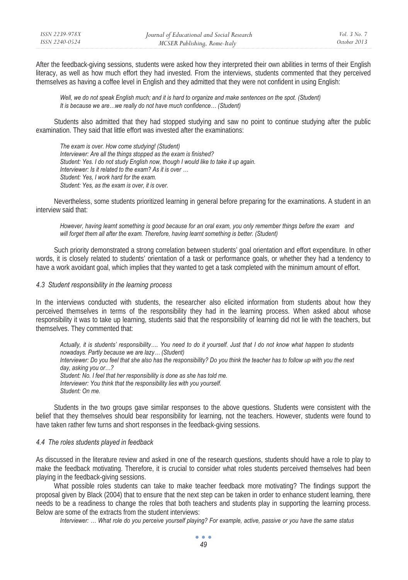After the feedback-giving sessions, students were asked how they interpreted their own abilities in terms of their English literacy, as well as how much effort they had invested. From the interviews, students commented that they perceived themselves as having a coffee level in English and they admitted that they were not confident in using English:

*Well, we do not speak English much; and it is hard to organize and make sentences on the spot. (Student) It is because we are…we really do not have much confidence… (Student)* 

Students also admitted that they had stopped studying and saw no point to continue studying after the public examination. They said that little effort was invested after the examinations:

*The exam is over. How come studying! (Student) Interviewer: Are all the things stopped as the exam is finished? Student: Yes. I do not study English now, though I would like to take it up again. Interviewer: Is it related to the exam? As it is over … Student: Yes, I work hard for the exam. Student: Yes, as the exam is over, it is over.* 

Nevertheless, some students prioritized learning in general before preparing for the examinations. A student in an interview said that:

*However, having learnt something is good because for an oral exam, you only remember things before the exam and*  will forget them all after the exam. Therefore, having learnt something is better. (Student)

Such priority demonstrated a strong correlation between students' goal orientation and effort expenditure. In other words, it is closely related to students' orientation of a task or performance goals, or whether they had a tendency to have a work avoidant goal, which implies that they wanted to get a task completed with the minimum amount of effort.

## *4.3 Student responsibility in the learning process*

In the interviews conducted with students, the researcher also elicited information from students about how they perceived themselves in terms of the responsibility they had in the learning process. When asked about whose responsibility it was to take up learning, students said that the responsibility of learning did not lie with the teachers, but themselves. They commented that:

*Actually, it is students' responsibility…. You need to do it yourself. Just that I do not know what happen to students nowadays. Partly because we are lazy… (Student) Interviewer: Do you feel that she also has the responsibility? Do you think the teacher has to follow up with you the next day, asking you or…? Student: No. I feel that her responsibility is done as she has told me. Interviewer: You think that the responsibility lies with you yourself. Student: On me.* 

Students in the two groups gave similar responses to the above questions. Students were consistent with the belief that they themselves should bear responsibility for learning, not the teachers. However, students were found to have taken rather few turns and short responses in the feedback-giving sessions.

### *4.4 The roles students played in feedback*

As discussed in the literature review and asked in one of the research questions, students should have a role to play to make the feedback motivating. Therefore, it is crucial to consider what roles students perceived themselves had been playing in the feedback-giving sessions.

What possible roles students can take to make teacher feedback more motivating? The findings support the proposal given by Black (2004) that to ensure that the next step can be taken in order to enhance student learning, there needs to be a readiness to change the roles that both teachers and students play in supporting the learning process. Below are some of the extracts from the student interviews:

*Interviewer: … What role do you perceive yourself playing? For example, active, passive or you have the same status* 

 $\bullet$   $\bullet$   $\bullet$ *49*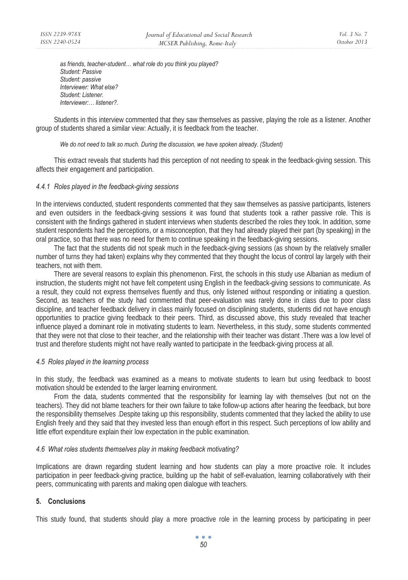*as friends, teacher-student… what role do you think you played? Student: Passive Student: passive Interviewer: What else? Student: Listener. Interviewer:… listener?.* 

Students in this interview commented that they saw themselves as passive, playing the role as a listener. Another group of students shared a similar view: Actually, it is feedback from the teacher.

#### *We do not need to talk so much. During the discussion, we have spoken already. (Student)*

This extract reveals that students had this perception of not needing to speak in the feedback-giving session. This affects their engagement and participation.

#### *4.4.1 Roles played in the feedback-giving sessions*

In the interviews conducted, student respondents commented that they saw themselves as passive participants, listeners and even outsiders in the feedback-giving sessions it was found that students took a rather passive role. This is consistent with the findings gathered in student interviews when students described the roles they took. In addition, some student respondents had the perceptions, or a misconception, that they had already played their part (by speaking) in the oral practice, so that there was no need for them to continue speaking in the feedback-giving sessions.

The fact that the students did not speak much in the feedback-giving sessions (as shown by the relatively smaller number of turns they had taken) explains why they commented that they thought the locus of control lay largely with their teachers, not with them.

There are several reasons to explain this phenomenon. First, the schools in this study use Albanian as medium of instruction, the students might not have felt competent using English in the feedback-giving sessions to communicate. As a result, they could not express themselves fluently and thus, only listened without responding or initiating a question. Second, as teachers of the study had commented that peer-evaluation was rarely done in class due to poor class discipline, and teacher feedback delivery in class mainly focused on disciplining students, students did not have enough opportunities to practice giving feedback to their peers. Third, as discussed above, this study revealed that teacher influence played a dominant role in motivating students to learn. Nevertheless, in this study, some students commented that they were not that close to their teacher, and the relationship with their teacher was distant .There was a low level of trust and therefore students might not have really wanted to participate in the feedback-giving process at all.

### *4.5 Roles played in the learning process*

In this study, the feedback was examined as a means to motivate students to learn but using feedback to boost motivation should be extended to the larger learning environment.

From the data, students commented that the responsibility for learning lay with themselves (but not on the teachers). They did not blame teachers for their own failure to take follow-up actions after hearing the feedback, but bore the responsibility themselves .Despite taking up this responsibility, students commented that they lacked the ability to use English freely and they said that they invested less than enough effort in this respect. Such perceptions of low ability and little effort expenditure explain their low expectation in the public examination.

## *4.6 What roles students themselves play in making feedback motivating?*

Implications are drawn regarding student learning and how students can play a more proactive role. It includes participation in peer feedback-giving practice, building up the habit of self-evaluation, learning collaboratively with their peers, communicating with parents and making open dialogue with teachers.

# **5. Conclusions**

This study found, that students should play a more proactive role in the learning process by participating in peer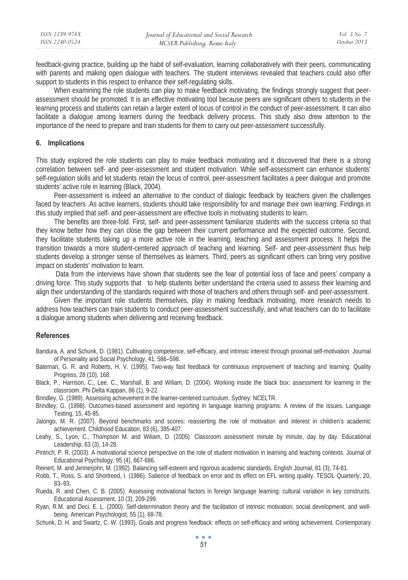| ISSN 2239-978X | Journal of Educational and Social Research | <i>Vol.</i> 3 No. 7 |
|----------------|--------------------------------------------|---------------------|
| ISSN 2240-0524 | MCSER Publishing, Rome-Italy               | October 2013        |

feedback-giving practice, building up the habit of self-evaluation, learning collaboratively with their peers, communicating with parents and making open dialogue with teachers. The student interviews revealed that teachers could also offer support to students in this respect to enhance their self-regulating skills.

When examining the role students can play to make feedback motivating, the findings strongly suggest that peerassessment should be promoted. It is an effective motivating tool because peers are significant others to students in the learning process and students can retain a larger extent of locus of control in the conduct of peer-assessment. It can also facilitate a dialogue among learners during the feedback delivery process. This study also drew attention to the importance of the need to prepare and train students for them to carry out peer-assessment successfully.

### **6. Implications**

This study explored the role students can play to make feedback motivating and it discovered that there is a strong correlation between self- and peer-assessment and student motivation. While self-assessment can enhance students' self-regulation skills and let students retain the locus of control, peer-assessment facilitates a peer dialogue and promote students' active role in learning (Black, 2004).

Peer-assessment is indeed an alternative to the conduct of dialogic feedback by teachers given the challenges faced by teachers .As active learners, students should take responsibility for and manage their own learning. Findings in this study implied that self- and peer-assessment are effective tools in motivating students to learn.

The benefits are three-fold. First, self- and peer-assessment familiarize students with the success criteria so that they know better how they can close the gap between their current performance and the expected outcome. Second, they facilitate students taking up a more active role in the learning, teaching and assessment process. It helps the transition towards a more student-centered approach of teaching and learning. Self- and peer-assessment thus help students develop a stronger sense of themselves as learners. Third, peers as significant others can bring very positive impact on students' motivation to learn.

 Data from the interviews have shown that students see the fear of potential loss of face and peers' company a driving force. This study supports that to help students better understand the criteria used to assess their learning and align their understanding of the standards required with those of teachers and others through self- and peer-assessment.

Given the important role students themselves, play in making feedback motivating, more research needs to address how teachers can train students to conduct peer-assessment successfully, and what teachers can do to facilitate a dialogue among students when delivering and receiving feedback.

#### **References**

- Bandura, A. and Schunk, D. (1981). Cultivating competence, self-efficacy, and intrinsic interest through proximal self-motivation. Journal of Personality and Social Psychology, 41, 586–598.
- Bateman, G. R. and Roberts, H. V. (1995). Two-way fast feedback for continuous improvement of teaching and learning. Quality Progress, 28 (10), 168.
- Black, P., Harrison, C., Lee, C., Marshall, B. and Wiliam, D. (2004). Working inside the black box: assessment for learning in the classroom. Phi Delta Kappan, 86 (1), 9-22.
- Brindley, G. (1989). Assessing achievement in the learner-centered curriculum. Sydney: NCELTR.
- Brindley, G. (1998). Outcomes-based assessment and reporting in language learning programs: A review of the issues. Language Testing, 15, 45-85.
- Jalongo, M. R. (2007). Beyond benchmarks and scores: reasserting the role of motivation and interest in children's academic achievement. Childhood Education, 83 (6), 395-407.
- Leahy, S., Lyon, C., Thompson M. and Wiliam, D. (2005). Classroom assessment minute by minute, day by day. Educational Leadership, 63 (3), 14-28.
- Pintrich, P. R. (2003). A motivational science perspective on the role of student motivation in learning and teaching contexts. Journal of Educational Psychology, 95 (4), 667-686.
- Reinert, M. and Jennerjohn, M. (1992). Balancing self-esteem and rigorous academic standards. English Journal, 81 (3), 74-81.
- Robb, T., Ross, S. and Shortreed, I. (1986). Salience of feedback on error and its effect on EFL writing quality. TESOL Quarterly, 20, 83–93.
- Rueda, R. and Chen, C. B. (2005). Assessing motivational factors in foreign language learning: cultural variation in key constructs. Educational Assessment, 10 (3), 209-299.
- Ryan, R.M. and Deci, E. L. (2000). Self-determination theory and the facilitation of intrinsic motivation, social development, and wellbeing. American Psychologist, 55 (1), 68-78.
- Schunk, D. H. and Swartz, C. W. (1993). Goals and progress feedback: effects on self-efficacy and writing achievement. Contemporary